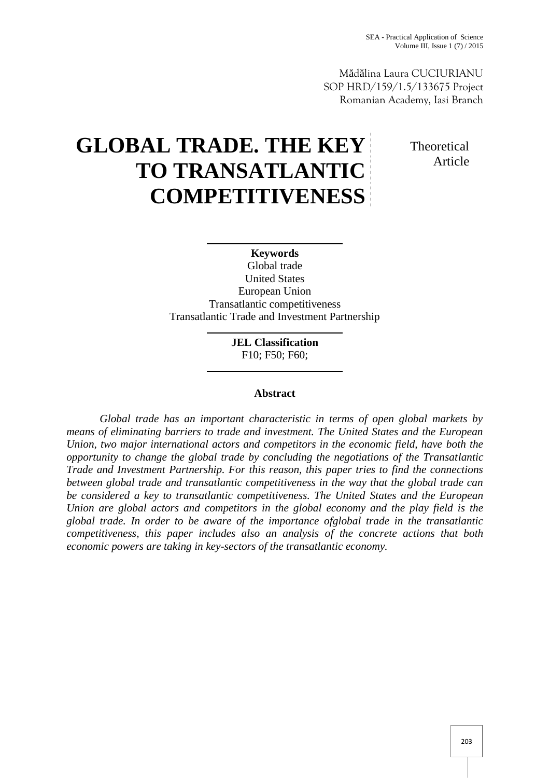M d lina Laura CUCIURIANU SOP HRD/159/1.5/133675 Project Romanian Academy, Iasi Branch

# **GLOBAL TRADE. THE KEY TO TRANSATLANTIC COMPETITIVENESS**

**Theoretical** Article

## **Keywords** Global trade United States European Union Transatlantic competitiveness Transatlantic Trade and Investment Partnership

**JEL Classification** F10; F50; F60;

### **Abstract**

*Global trade has an important characteristic in terms of open global markets by means of eliminating barriers to trade and investment. The United States and the European Union, two major international actors and competitors in the economic field, have both the opportunity to change the global trade by concluding the negotiations of the Transatlantic Trade and Investment Partnership. For this reason, this paper tries to find the connections between global trade and transatlantic competitiveness in the way that the global trade can be considered a key to transatlantic competitiveness. The United States and the European Union are global actors and competitors in the global economy and the play field is the global trade. In order to be aware of the importance ofglobal trade in the transatlantic competitiveness, this paper includes also an analysis of the concrete actions that both economic powers are taking in key-sectors of the transatlantic economy.*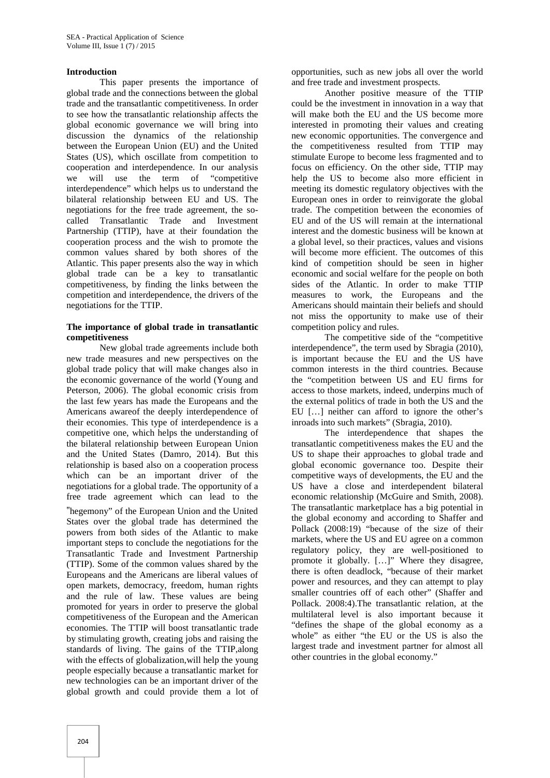#### **Introduction**

This paper presents the importance of global trade and the connections between the global trade and the transatlantic competitiveness. In order to see how the transatlantic relationship affects the global economic governance we will bring into discussion the dynamics of the relationship between the European Union (EU) and the United States (US), which oscillate from competition to cooperation and interdependence. In our analysis we will use the term of "competitive interdependence" which helps us to understand the bilateral relationship between EU and US. The negotiations for the free trade agreement, the so called Transatlantic Trade and Investment Partnership (TTIP), have at their foundation the cooperation process and the wish to promote the common values shared by both shores of the Atlantic. This paper presents also the way in which global trade can be a key to transatlantic competitiveness, by finding the links between the competition and interdependence, the drivers of the negotiations for the TTIP.

#### **The importance of global trade in transatlantic competitiveness**

New global trade agreements include both new trade measures and new perspectives on the global trade policy that will make changes also in the economic governance of the world (Young and Peterson, 2006). The global economic crisis from the last few years has made the Europeans and the Americans awareof the deeply interdependence of their economies. This type of interdependence is a competitive one, which helps the understanding of the bilateral relationship between European Union and the United States (Damro, 2014). But this relationship is based also on a cooperation process which can be an important driver of the negotiations for a global trade. The opportunity of a free trade agreement which can lead to the "hegemony" of the European Union and the United States over the global trade has determined the powers from both sides of the Atlantic to make important steps to conclude the negotiations for the Transatlantic Trade and Investment Partnership (TTIP). Some of the common values shared by the Europeans and the Americans are liberal values of open markets, democracy, freedom, human rights and the rule of law. These values are being promoted for years in order to preserve the global competitiveness of the European and the American economies. The TTIP will boost transatlantic trade by stimulating growth, creating jobs and raising the standards of living. The gains of the TTIP,along with the effects of globalization,will help the young people especially because a transatlantic market for new technologies can be an important driver of the global growth and could provide them a lot of

opportunities, such as new jobs all over the world and free trade and investment prospects.

Another positive measure of the TTIP could be the investment in innovation in a way that will make both the EU and the US become more interested in promoting their values and creating new economic opportunities. The convergence and the competitiveness resulted from TTIP may stimulate Europe to become less fragmented and to focus on efficiency. On the other side, TTIP may help the US to become also more efficient in meeting its domestic regulatory objectives with the European ones in order to reinvigorate the global trade. The competition between the economies of EU and of the US will remain at the international interest and the domestic business will be known at a global level, so their practices, values and visions will become more efficient. The outcomes of this kind of competition should be seen in higher economic and social welfare for the people on both sides of the Atlantic. In order to make TTIP measures to work, the Europeans and the Americans should maintain their beliefs and should not miss the opportunity to make use of their competition policy and rules.

The competitive side of the "competitive interdependence", the term used by Sbragia (2010), is important because the EU and the US have common interests in the third countries. Because the "competition between US and EU firms for access to those markets, indeed, underpins much of the external politics of trade in both the US and the EU […] neither can afford to ignore the other's inroads into such markets" (Sbragia, 2010).

The interdependence that shapes the transatlantic competitiveness makes the EU and the US to shape their approaches to global trade and global economic governance too. Despite their competitive ways of developments, the EU and the US have a close and interdependent bilateral economic relationship (McGuire and Smith, 2008). The transatlantic marketplace has a big potential in the global economy and according to Shaffer and Pollack (2008:19) "because of the size of their markets, where the US and EU agree on a common regulatory policy, they are well-positioned to promote it globally. […]" Where they disagree, there is often deadlock, "because of their market power and resources, and they can attempt to play smaller countries off of each other" (Shaffer and Pollack. 2008:4).The transatlantic relation, at the multilateral level is also important because it "defines the shape of the global economy as a whole" as either "the EU or the US is also the largest trade and investment partner for almost all other countries in the global economy."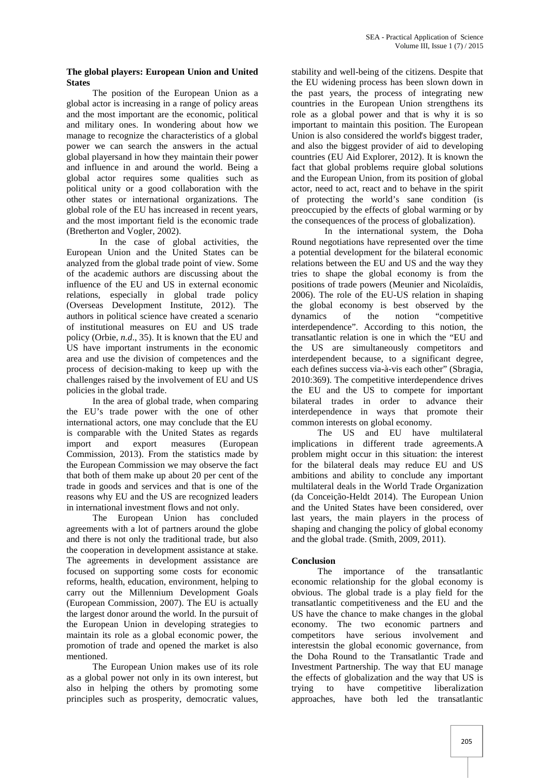#### **The global players: European Union and United States**

The position of the European Union as a global actor is increasing in a range of policy areas and the most important are the economic, political and military ones. In wondering about how we manage to recognize the characteristics of a global power we can search the answers in the actual global playersand in how they maintain their power and influence in and around the world. Being a global actor requires some qualities such as political unity or a good collaboration with the other states or international organizations. The global role of the EU has increased in recent years, and the most important field is the economic trade (Bretherton and Vogler, 2002).

In the case of global activities, the European Union and the United States can be analyzed from the global trade point of view. Some of the academic authors are discussing about the influence of the EU and US in external economic relations, especially in global trade policy (Overseas Development Institute, 2012). The authors in political science have created a scenario of institutional measures on EU and US trade policy (Orbie, *n.d*., 35). It is known that the EU and US have important instruments in the economic area and use the division of competences and the process of decision-making to keep up with the challenges raised by the involvement of EU and US policies in the global trade.

In the area of global trade, when comparing the EU's trade power with the one of other international actors, one may conclude that the EU is comparable with the United States as regards import and export measures (European Commission, 2013). From the statistics made by the European Commission we may observe the fact that both of them make up about 20 per cent of the trade in goods and services and that is one of the reasons why EU and the US are recognized leaders in international investment flows and not only.

The European Union has concluded agreements with a lot of partners around the globe and there is not only the traditional trade, but also the cooperation in development assistance at stake. The agreements in development assistance are focused on supporting some costs for economic reforms, health, education, environment, helping to carry out the Millennium Development Goals (European Commission, 2007). The EU is actually the largest donor around the world. In the pursuit of the European Union in developing strategies to maintain its role as a global economic power, the promotion of trade and opened the market is also mentioned.

The European Union makes use of its role as a global power not only in its own interest, but also in helping the others by promoting some principles such as prosperity, democratic values,

stability and well-being of the citizens. Despite that the EU widening process has been slown down in the past years, the process of integrating new countries in the European Union strengthens its role as a global power and that is why it is so important to maintain this position. The European Union is also considered the world's biggest trader, and also the biggest provider of aid to developing countries (EU Aid Explorer, 2012). It is known the fact that global problems require global solutions and the European Union, from its position of global actor, need to act, react and to behave in the spirit of protecting the world's sane condition (is preoccupied by the effects of global warming or by the consequences of the process of globalization).

In the international system, the Doha Round negotiations have represented over the time a potential development for the bilateral economic relations between the EU and US and the way they tries to shape the global economy is from the positions of trade powers (Meunier and Nicolaïdis, 2006). The role of the EU-US relation in shaping the global economy is best observed by the of the notion "competitive interdependence". According to this notion, the transatlantic relation is one in which the "EU and the US are simultaneously competitors and interdependent because, to a significant degree, each defines success via-à-vis each other" (Sbragia, 2010:369). The competitive interdependence drives the EU and the US to compete for important bilateral trades in order to advance their interdependence in ways that promote their common interests on global economy.

The US and EU have multilateral implications in different trade agreements.A problem might occur in this situation: the interest for the bilateral deals may reduce EU and US ambitions and ability to conclude any important multilateral deals in the World Trade Organization (da Conceição-Heldt 2014). The European Union and the United States have been considered, over last years, the main players in the process of shaping and changing the policy of global economy and the global trade. (Smith, 2009, 2011).

## **Conclusion**

The importance of the transatlantic economic relationship for the global economy is obvious. The global trade is a play field for the transatlantic competitiveness and the EU and the US have the chance to make changes in the global economy. The two economic partners and competitors have serious involvement and interestsin the global economic governance, from the Doha Round to the Transatlantic Trade and Investment Partnership. The way that EU manage the effects of globalization and the way that US is trying to have competitive liberalization approaches, have both led the transatlantic